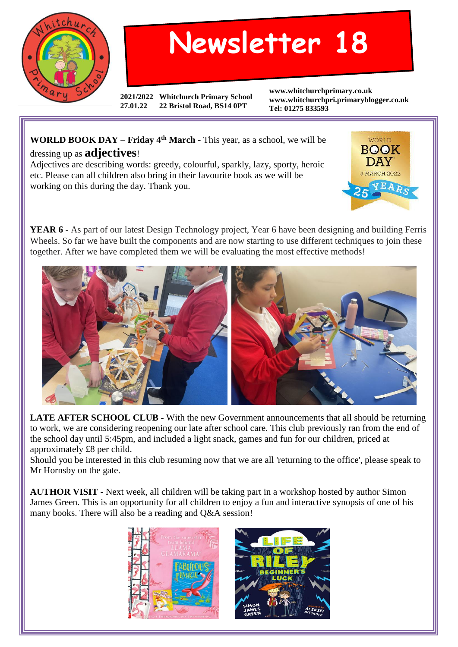

## **Newsletter 18**

**2021/2022 Whitchurch Primary School 27.01.22 22 Bristol Road, BS14 0PT**

**www.whitchurchprimary.co.uk www.whitchurchpri.primaryblogger.co.uk Tel: 01275 833593**

## **WORLD BOOK DAY – Friday 4th March** - This year, as a school, we will be dressing up as **adjectives**!

Adjectives are describing words: greedy, colourful, sparkly, lazy, sporty, heroic etc. Please can all children also bring in their favourite book as we will be working on this during the day. Thank you.



**YEAR 6** - As part of our latest Design Technology project, Year 6 have been designing and building Ferris Wheels. So far we have built the components and are now starting to use different techniques to join these together. After we have completed them we will be evaluating the most effective methods!



**LATE AFTER SCHOOL CLUB -** With the new Government announcements that all should be returning to work, we are considering reopening our late after school care. This club previously ran from the end of the school day until 5:45pm, and included a light snack, games and fun for our children, priced at approximately £8 per child.

Should you be interested in this club resuming now that we are all 'returning to the office', please speak to Mr Hornsby on the gate.

**AUTHOR VISIT -** Next week, all children will be taking part in a workshop hosted by author Simon James Green. This is an opportunity for all children to enjoy a fun and interactive synopsis of one of his many books. There will also be a reading and Q&A session!